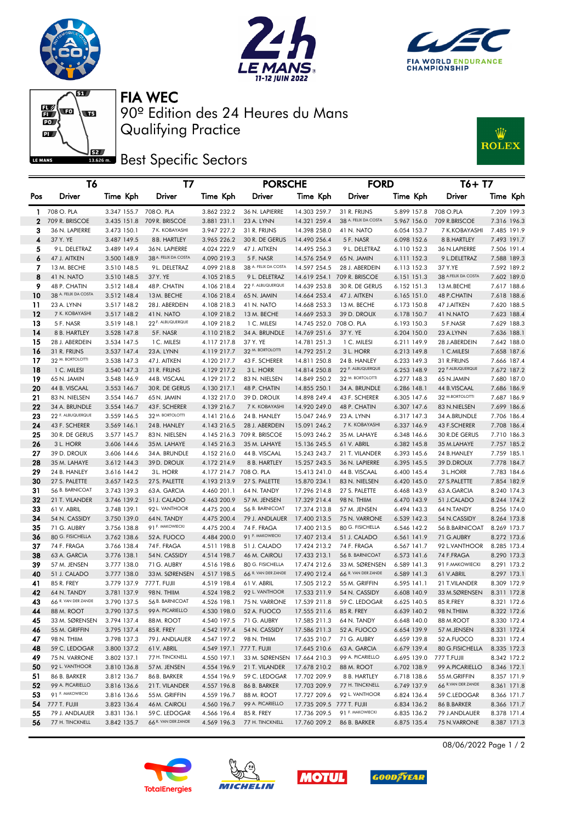







Qualifying Practice 90º Edition des 24 Heures du Mans FIA WEC

**Best Specific Sectors** 



|              | T6                   |             | T7                   |                          | <b>PORSCHE</b>              |                           | <b>FORD</b>          |             | $T6+T7$             |             |
|--------------|----------------------|-------------|----------------------|--------------------------|-----------------------------|---------------------------|----------------------|-------------|---------------------|-------------|
| Pos          | Driver               | Time Kph    | Driver               | Time Kph                 | Driver                      | Time Kph                  | Driver               | Time Kph    | Driver              | Time Kph    |
| $\mathbf{1}$ | 708 O. PLA           | 3.347 155.7 | 708 O. PLA           | 3.862 232.2              | 36 N. LAPIERRE              | 14.303 259.7              | 31 R. FRIJNS         | 5.899 157.8 | 708 O.PLA           | 7.209 199.3 |
| 2            | 709 R. BRISCOE       | 3.435 151.8 | 709 R. BRISCOE       | 3.881 231.1              | 23 A. LYNN                  | 14.321 259.4              | 38 A. FELIX DA COSTA | 5.967 156.0 | 709 R.BRISCOE       | 7.316 196.3 |
| 3            | 36 N. LAPIERRE       | 3.473 150.1 | 7 K. KOBAYASHI       | 3.947 227.2              | 31 R. FRIJNS                | 14.398 258.0              | 41 N. NATO           | 6.054 153.7 | 7 K.KOBAYASHI       | 7.485 191.9 |
| 4            | 37 Y. YE             | 3.487 149.5 | 8 B. HARTLEY         | 3.965 226.2              | 30 R. DE GERUS              | 14.490 256.4              | 5 F. NASR            | 6.098 152.6 | 8 B.HARTLEY         | 7.493 191.7 |
| 5            | 9 L. DELETRAZ        | 3.489 149.4 | 36 N. LAPIERRE       | 4.024 222.9              | 47 J. AITKEN                | 14.495 256.3              | 9 L. DELETRAZ        | 6.110 152.3 | 36 N.LAPIERRE       | 7.506 191.4 |
| 6            | 47 J. AITKEN         | 3.500 148.9 | 38 A. FELIX DA COSTA | 4.090 219.3              | 5 F. NASR                   | 14.576 254.9              | 65 N. JAMIN          | 6.111 152.3 | 9 L.DELETRAZ        | 7.588 189.3 |
| 7            | 13 M. BECHE          | 3.510 148.5 | 9 L. DELETRAZ        | 4.099 218.8              | 38 A. FELIX DA COSTA        | 14.597 254.5              | 28 J. ABERDEIN       | 6.113 152.3 | 37 Y.YE             | 7.592 189.2 |
| 8            | 41 N. NATO           | 3.510 148.5 | 37 Y. YE             | 4.105 218.5              | 9 L. DELETRAZ               | 14.619 254.1              | 709 R. BRISCOE       | 6.151 151.3 | 38 A.FELIX DA COSTA | 7.602 189.0 |
| 9            | 48 P. CHATIN         | 3.512 148.4 | 48 P. CHATIN         | 4.106 218.4              | 22 F. ALBUQUERQUE           | 14.639 253.8              | 30 R. DE GERUS       | 6.152 151.3 | 13 M.BECHE          | 7.617 188.6 |
| 10           | 38 A. FELIX DA COSTA | 3.512 148.4 | 13M. BECHE           | 4.106 218.4              | 65 N. JAMIN                 | 14.664 253.4              | 47 J. AITKEN         | 6.165 151.0 | 48 P.CHATIN         | 7.618 188.6 |
| 11           | 23 A. LYNN           | 3.517 148.2 | 28 J. ABERDEIN       | 4.108 218.3              | 41 N. NATO                  | 14.668 253.3              | 13 M. BECHE          | 6.173 150.8 | 47 J.AITKEN         | 7.620 188.5 |
| 12           | 7 K. KOBAYASHI       | 3.517 148.2 | 41 N. NATO           | 4.109 218.2              | 13 M. BECHE                 | 14.669 253.3              | 39 D. DROUX          | 6.178 150.7 | 41 N.NATO           | 7.623 188.4 |
| 13           | 5 F. NASR            | 3.519 148.1 | 22 F. ALBUQUERQUE    | 4.109 218.2              | 1 C. MILESI                 | 14.745 252.0 708 O. PLA   |                      | 6.193 150.3 | 5 F.NASR            | 7.629 188.3 |
| 14           | 8 B. HARTLEY         | 3.528 147.8 | 5F. NASR             | 4.110 218.2              | 34 A. BRUNDLE               | 14.769 251.6              | 37 Y. YE             | 6.204 150.0 | 23 A.LYNN           | 7.636 188.1 |
| 15           | 28 J. ABERDEIN       | 3.534 147.5 | 1 C. MILESI          | 4.117 217.8              | 37 Y. YE                    | 14.781 251.3              | 1 C. MILESI          | 6.211 149.9 | 28 J.ABERDEIN       | 7.642 188.0 |
| 16           | 31 R. FRIJNS         | 3.537 147.4 | 23 A. LYNN           | 4.119 217.7              | 32 M. BORTOLOTTI            | 14.792 251.2              | 3 L. HORR            | 6.213 149.8 | 1 C.MILESI          | 7.658 187.6 |
| 17           | 32 M. BORTOLOTTI     | 3.538 147.3 | 47 J. AITKEN         | 4.120 217.7              | 43 F. SCHERER               | 14.811 250.8              | 24 B. HANLEY         | 6.233 149.3 | 31 R.FRIJNS         | 7.666 187.4 |
| 18           | 1 C. MILESI          | 3.540 147.3 | 31 R. FRIJNS         | 4.129 217.2              | 3 L. HORR                   | 14.814 250.8              | 22 F. ALBUQUERQUE    | 6.253 148.9 | 22 F.ALBUQUERQUE    | 7.672 187.2 |
| 19           | 65 N. JAMIN          | 3.548 146.9 | 44 B. VISCAAL        | 4.129 217.2              | 83 N. NIELSEN               | 14.849 250.2              | 32 M. BORTOLOTTI     | 6.277 148.3 | 65 N.JAMIN          | 7.680 187.0 |
| 20           | 44 B. VISCAAL        | 3.553 146.7 | 30 R. DE GERUS       | 4.130 217.1              | 48 P. CHATIN                | 14.855 250.1              | 34 A. BRUNDLE        | 6.286 148.1 | 44 B.VISCAAL        | 7.686 186.9 |
| 21           | 83 N. NIELSEN        | 3.554 146.7 | 65N. JAMIN           | 4.132 217.0              | 39 D. DROUX                 | 14.898 249.4              | 43 F. SCHERER        | 6.305 147.6 | 32 M.BORTOLOTTI     | 7.687 186.9 |
| 22           | 34 A. BRUNDLE        | 3.554 146.7 | 43 F. SCHERER        | 4.139 216.7              | 7 K. KOBAYASHI              | 14.920 249.0              | 48 P. CHATIN         | 6.307 147.6 | 83 N.NIELSEN        | 7.699 186.6 |
| 23           | 22 F. ALBUQUERQUE    | 3.559 146.5 | 32 M. BORTOLOTTI     | 4.141 216.6              | 24 B. HANLEY                | 15.047 246.9              | 23 A. LYNN           | 6.317 147.3 | 34 A.BRUNDLE        | 7.706 186.4 |
| 24           | 43 F. SCHERER        | 3.569 146.1 | 24 B. HANLEY         | 4.143 216.5              | 28 J. ABERDEIN              | 15.091 246.2              | 7 K. KOBAYASHI       | 6.337 146.9 | 43 F.SCHERER        | 7.708 186.4 |
| 25           | 30 R. DE GERUS       | 3.577 145.7 | 83 N. NIELSEN        |                          | 4.145 216.3 709 R. BRISCOE  | 15.093 246.2              | 35 M. LAHAYE         | 6.348 146.6 | 30 R.DE GERUS       | 7.710 186.3 |
| 26           | 3 L. HORR            | 3.606 144.6 | 35 M. LAHAYE         | 4.145 216.3              | 35 M. LAHAYE                | 15.136 245.5              | 61 V. ABRIL          | 6.382 145.8 | 35 M.LAHAYE         | 7.757 185.2 |
| 27           | 39 D. DROUX          | 3.606 144.6 | 34 A. BRUNDLE        | 4.152 216.0              | 44 B. VISCAAL               | 15.243 243.7              | 21 T. VILANDER       | 6.393 145.6 | 24 B.HANLEY         | 7.759 185.1 |
| 28           | 35 M. LAHAYE         | 3.612 144.3 | 39 D. DROUX          | 4.172 214.9              | 8 B. HARTLEY                | 15.257 243.5              | 36 N. LAPIERRE       | 6.395 145.5 | 39 D.DROUX          | 7.778 184.7 |
| 29           | 24 B. HANLEY         | 3.616 144.2 | 3L. HORR             | 4.177 214.7 708 O. PLA   |                             | 15.413 241.0              | 44 B. VISCAAL        | 6.400 145.4 | 3 L.HORR            | 7.783 184.6 |
| 30           | 27 S. PALETTE        | 3.657 142.5 | 27 S. PALETTE        | 4.193 213.9              | 27 S. PALETTE               | 15.870 234.1              | 83 N. NIELSEN        | 6.420 145.0 | 27 S.PALETTE        | 7.854 182.9 |
| 31           | 56 B. BARNICOAT      | 3.743 139.3 | 63 A. GARCIA         | 4.460 201.1              | 64 N. TANDY                 | 17.296 214.8              | 27 S. PALETTE        | 6.468 143.9 | 63 A.GARCIA         | 8.240 174.3 |
| 32           | 21 T. VILANDER       | 3.746 139.2 | 51 J. CALADO         | 4.463 200.9              | 57 M. JENSEN                | 17.329 214.4              | 98 N. THIIM          | 6.470 143.9 | 51 J.CALADO         | 8.244 174.2 |
| 33           | 61 V. ABRIL          | 3.748 139.1 | 92 L. VANTHOOR       | 4.475 200.4              | 56 B. BARNICOAT             | 17.374 213.8              | 57 M. JENSEN         | 6.494 143.3 | 64 N.TANDY          | 8.256 174.0 |
| 34           | 54 N. CASSIDY        | 3.750 139.0 | 64 N. TANDY          | 4.475 200.4              | 79 J. ANDLAUER              | 17.400 213.5              | 75 N. VARRONE        | 6.539 142.3 | 54 N.CASSIDY        | 8.264 173.8 |
| 35           | 71 G. AUBRY          | 3.756 138.8 | 91 F. MAKOWIECKI     | 4.475 200.4              | 74 F. FRAGA                 | 17.400 213.5              | 80 G. FISICHELLA     | 6.546 142.2 | 56 B.BARNICOAT      | 8.269 173.7 |
| 36           | 80 G. FISICHELLA     | 3.762 138.6 | 52 A. FUOCO          | 4.484 200.0              | 91 F. MAKOWIECKI            | 17.407 213.4              | 51 J. CALADO         | 6.561 141.9 | 71 G.AUBRY          | 8.272 173.6 |
| 37           | 74 F. FRAGA          | 3.766 138.4 | 74 F. FRAGA          | 4.511 198.8              | 51 J. CALADO                | 17.424 213.2              | 74 F. FRAGA          | 6.567 141.7 | 92 L.VANTHOOR       | 8.285 173.4 |
| 38           | 63 A. GARCIA         | 3.776 138.1 | 54 N. CASSIDY        | 4.514 198.7              | 46 M. CAIROLI               | 17.433 213.1              | 56 B. BARNICOAT      | 6.573 141.6 | 74 F.FRAGA          | 8.290 173.3 |
| 39           | 57 M. JENSEN         | 3.777 138.0 | 71 G. AUBRY          | 4.516 198.6              | 80 G. FISICHELLA            | 17.474 212.6              | 33 M. SØRENSEN       | 6.589 141.3 | 91 F.MAKOWIECKI     | 8.291 173.2 |
| 40           | 51 J. CALADO         | 3.777 138.0 | 33 M. SØRENSEN       | 4.517 198.5              | 66 R. VAN DER ZANDE         | 17.490 212.4              | 66 R. VAN DER ZANDE  | 6.589 141.3 | 61 V.ABRIL          | 8.297 173.1 |
| 41           | 85 R. FREY           | 3.779 137.9 | 777T. FUJII          | 4.519 198.4              | 61 V. ABRIL                 | 17.505 212.2              | 55 M. GRIFFIN        | 6.595 141.1 | 21 T.VILANDER       | 8.309 172.9 |
| 42           | 64 N. TANDY          | 3.781 137.9 | 98N. THIIM           | 4.524 198.2              | 92 L. VANTHOOR              | 17.533 211.9              | 54 N. CASSIDY        | 6.608 140.9 | 33 M.SØRENSEN       | 8.311 172.8 |
| 43           | 66 R. VAN DER ZANDE  | 3.790 137.5 | 56 B. BARNICOAT      | 4.526 198.1              | 75 N. VARRONE               | 17.539 211.8              | 59 C. LEDOGAR        | 6.625 140.5 | 85 R.FREY           | 8.321 172.6 |
|              | 88 M. ROOT           | 3.790 137.5 | 99 A. PICARIELLO     |                          | 4.530 198.0 52 A. FUOCO     | 17.555 211.6              | 85 R. FREY           | 6.639 140.2 | 98 N.THIIM          | 8.322 172.6 |
| 45           | 33 M. SØRENSEN       | 3.794 137.4 | 88 M. ROOT           |                          | 4.540 197.5 71 G. AUBRY     | 17.585 211.3              | 64 N. TANDY          | 6.648 140.0 | 88 M.ROOT           | 8.330 172.4 |
| 46           | 55 M. GRIFFIN        | 3.795 137.4 | 85 R. FREY           | 4.542 197.4              | 54 N. CASSIDY               | 17.586 211.3              | 52 A. FUOCO          | 6.654 139.9 | 57 M.JENSEN         | 8.331 172.4 |
| 47           | 98 N. THIIM          | 3.798 137.3 | 79 J. ANDLAUER       | 4.547 197.2              | 98 N. THIIM                 | 17.635 210.7              | 71 G. AUBRY          | 6.659 139.8 | 52 A.FUOCO          | 8.331 172.4 |
| 48           | 59 C. LEDOGAR        | 3.800 137.2 | 61 V. ABRIL          | 4.549 197.1 777 T. FUJII |                             | 17.645 210.6              | 63 A. GARCIA         | 6.679 139.4 | 80 G.FISICHELLA     | 8.335 172.3 |
| 49           | 75 N. VARRONE        | 3.802 137.1 | 77 H. TINCKNELL      | 4.550 197.1              | 33 M. SØRENSEN 17.664 210.3 |                           | 99 A. PICARIELLO     | 6.695 139.0 | 777 T.FUJII         | 8.342 172.2 |
| 50           | 92 L. VANTHOOR       | 3.810 136.8 | 57 M. JENSEN         | 4.554 196.9              | 21 T. VILANDER              | 17.678 210.2              | 88 M. ROOT           | 6.702 138.9 | 99 A.PICARIELLO     | 8.346 172.1 |
| 51           | 86 B. BARKER         | 3.812 136.7 | 86 B. BARKER         | 4.554 196.9              | 59 C. LEDOGAR               | 17.702 209.9              | 8 B. HARTLEY         | 6.718 138.6 | 55 M.GRIFFIN        | 8.357 171.9 |
| 52           | 99 A. PICARIELLO     | 3.816 136.6 | 21 T. VILANDER       | 4.557 196.8              | 86 B. BARKER                | 17.703 209.9              | 77 H. TINCKNELL      | 6.749 137.9 | 66 R.VAN DER ZANDE  | 8.361 171.8 |
| 53           | 91 F. MAKOWIECKI     | 3.816 136.6 | 55 M. GRIFFIN        | 4.559 196.7              | 88 M. ROOT                  | 17.727 209.6              | 92 L. VANTHOOR       | 6.824 136.4 | 59 C.LEDOGAR        | 8.366 171.7 |
| 54           | 777 T. FUJII         | 3.823 136.4 | 46 M. CAIROLI        | 4.560 196.7              | 99 A. PICARIELLO            | 17.735 209.5 777 T. FUJII |                      | 6.834 136.2 | 86 B.BARKER         | 8.366 171.7 |
| 55           | 79 J. ANDLAUER       | 3.831 136.1 | 59 C. LEDOGAR        | 4.566 196.4              | 85 R. FREY                  | 17.736 209.5              | 91 F. MAKOWIECKI     | 6.835 136.2 | 79 J.ANDLAUER       | 8.378 171.4 |
| 56           | 77 H. TINCKNELL      | 3.842 135.7 | 66 R. VAN DER ZANDE  | 4.569 196.3              | 77 H. TINCKNELL             | 17.760 209.2              | 86 B. BARKER         | 6.875 135.4 | 75 N.VARRONE        | 8.387 171.3 |
|              |                      |             |                      |                          |                             |                           |                      |             |                     |             |









**GOOD**FYEAR

08/06/2022 Page 1 / 2